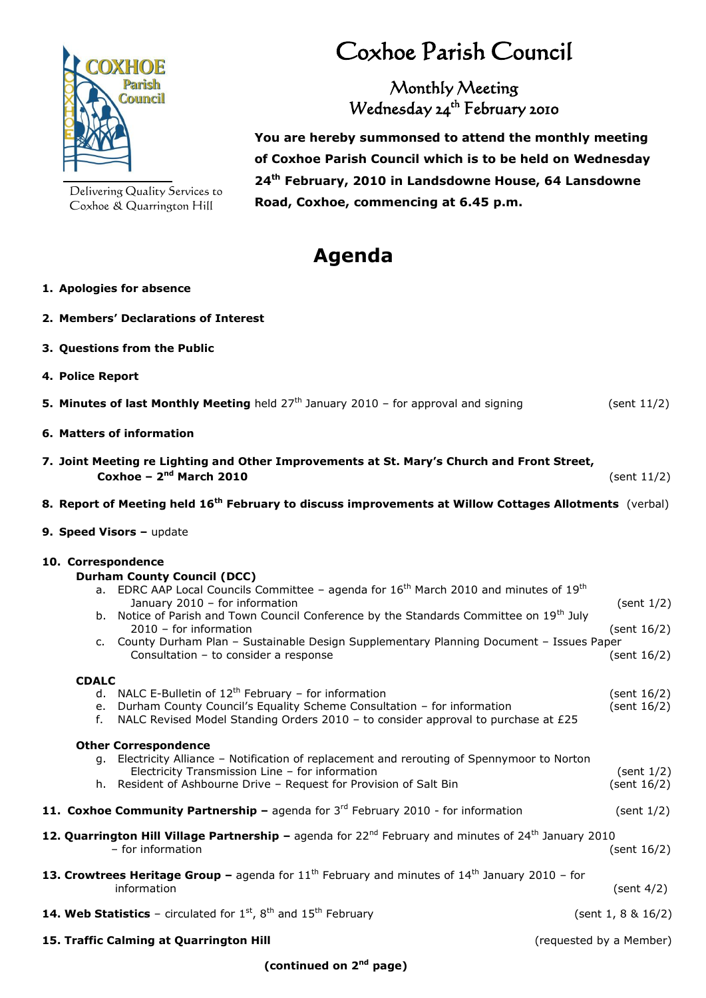

Delivering Quality Services to Coxhoe & Quarrington Hill

# Coxhoe Parish Council

### Monthly Meeting Wednesday 24<sup>th</sup> February 2010

 **You are hereby summonsed to attend the monthly meeting of Coxhoe Parish Council which is to be held on Wednesday 24 th February, 2010 in Landsdowne House, 64 Lansdowne Road, Coxhoe, commencing at 6.45 p.m.**

## **Agenda**

- **1. Apologies for absence**
- **2. Members' Declarations of Interest**
- **3. Questions from the Public**
- **4. Police Report**
- **5. Minutes of last Monthly Meeting** held 27<sup>th</sup> January 2010 for approval and signing (sent 11/2)
- **6. Matters of information**
- **7. Joint Meeting re Lighting and Other Improvements at St. Mary's Church and Front Street, Coxhoe – 2 nd March 2010** (sent 11/2)

#### **8. Report of Meeting held 16th February to discuss improvements at Willow Cottages Allotments** (verbal)

**9. Speed Visors - update** 

#### **10. Correspondence**

|                                                                                                                                                    | <b>Durham County Council (DCC)</b>                                                                                                 |                |  |
|----------------------------------------------------------------------------------------------------------------------------------------------------|------------------------------------------------------------------------------------------------------------------------------------|----------------|--|
|                                                                                                                                                    | a. EDRC AAP Local Councils Committee - agenda for $16th$ March 2010 and minutes of $19th$<br>January 2010 - for information        | (sent $1/2$ )  |  |
|                                                                                                                                                    | b. Notice of Parish and Town Council Conference by the Standards Committee on 19 <sup>th</sup> July<br>$2010$ – for information    | (sent $16/2$ ) |  |
|                                                                                                                                                    | c. County Durham Plan - Sustainable Design Supplementary Planning Document - Issues Paper<br>Consultation - to consider a response | (sent 16/2)    |  |
| <b>CDALC</b>                                                                                                                                       |                                                                                                                                    |                |  |
|                                                                                                                                                    | d. NALC E-Bulletin of $12^{th}$ February – for information                                                                         | (sent 16/2)    |  |
| e.                                                                                                                                                 | Durham County Council's Equality Scheme Consultation - for information                                                             | (sent 16/2)    |  |
| f.                                                                                                                                                 | NALC Revised Model Standing Orders 2010 - to consider approval to purchase at £25                                                  |                |  |
|                                                                                                                                                    | <b>Other Correspondence</b>                                                                                                        |                |  |
|                                                                                                                                                    | g. Electricity Alliance - Notification of replacement and rerouting of Spennymoor to Norton                                        |                |  |
|                                                                                                                                                    | Electricity Transmission Line - for information                                                                                    | (sent $1/2$ )  |  |
|                                                                                                                                                    | h. Resident of Ashbourne Drive - Request for Provision of Salt Bin                                                                 | (sent 16/2)    |  |
|                                                                                                                                                    | 11. Coxhoe Community Partnership – agenda for $3rd$ February 2010 - for information                                                | (sent 1/2)     |  |
| 12. Quarrington Hill Village Partnership – agenda for $22^{nd}$ February and minutes of $24^{th}$ January 2010<br>- for information<br>(sent 16/2) |                                                                                                                                    |                |  |
| <b>13. Crowtrees Heritage Group –</b> agenda for $11^{th}$ February and minutes of $14^{th}$ January 2010 – for                                    |                                                                                                                                    |                |  |
|                                                                                                                                                    | information                                                                                                                        | (sent $4/2$ )  |  |
| <b>14. Web Statistics</b> - circulated for $1st$ , $8th$ and $15th$ February<br>(sent $1, 8 \& 16/2$ )                                             |                                                                                                                                    |                |  |
| 15. Traffic Calming at Quarrington Hill<br>(requested by a Member)                                                                                 |                                                                                                                                    |                |  |